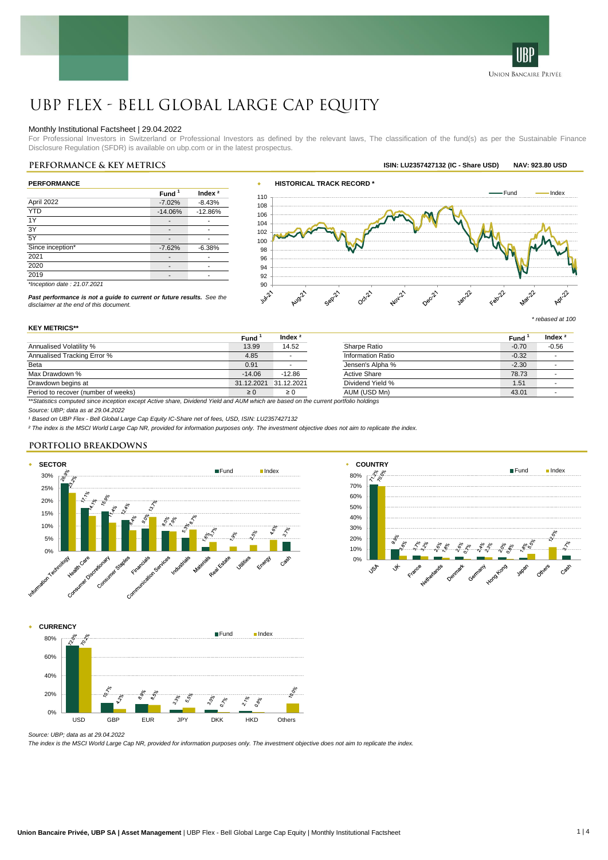

# UBP Flex - Bell Global Large Cap Equity

## Monthly Institutional Factsheet | 29.04.2022

For Professional Investors in Switzerland or Professional Investors as defined by the relevant laws, The classification of the fund(s) as per the Sustainable Finance Disclosure Regulation (SFDR) is available on ubp.com or in the latest prospectus.

# **Performance & key metrics ISIN: LU2357427132 (IC - Share USD) NAV: 923.80 USD**

| <b>PERFORMANCE</b>          |                   |                    |  |  |  |
|-----------------------------|-------------------|--------------------|--|--|--|
|                             | Fund <sup>1</sup> | Index <sup>2</sup> |  |  |  |
| April 2022                  | $-7.02%$          | $-8.43%$           |  |  |  |
| <b>YTD</b>                  | $-14.06%$         | $-12.86%$          |  |  |  |
| 1Y                          |                   |                    |  |  |  |
| 3Y                          |                   |                    |  |  |  |
| 5Y                          |                   |                    |  |  |  |
| Since inception*            | $-7.62%$          | $-6.38%$           |  |  |  |
| 2021                        |                   |                    |  |  |  |
| 2020                        |                   |                    |  |  |  |
| 2019                        |                   |                    |  |  |  |
| *Inception date: 21.07.2021 |                   |                    |  |  |  |



*\* rebased at 100*

*Past performance is not a guide to current or future results. See the disclaimer at the end of this document.*

#### **KEY METRICS\*\***

|                                     | Fund       | Index $2$  |                          | Fund    | Index $^2$ |
|-------------------------------------|------------|------------|--------------------------|---------|------------|
| Annualised Volatility %             | 13.99      | 14.52      | Sharpe Ratio             | $-0.70$ | $-0.56$    |
| Annualised Tracking Error %         | 4.85       |            | <b>Information Ratio</b> | $-0.32$ |            |
| Beta                                | 0.91       |            | Jensen's Alpha %         | $-2.30$ |            |
| Max Drawdown %                      | $-14.06$   | $-12.86$   | <b>Active Share</b>      | 78.73   |            |
| Drawdown begins at                  | 31.12.2021 | 31.12.2021 | Dividend Yield %         | 1.51    |            |
| Period to recover (number of weeks) | $\geq 0$   | $\geq 0$   | AUM (USD Mn)             | 43.01   |            |
| _ _ _ _ _ _ _ _ _ _ _<br>.          | .          |            | .                        |         |            |

tics computed since inception except Active share, Dividend Yield and AUM which are based on the current portfolio holdings

*Source: UBP; data as at 29.04.2022*

*¹ Based on UBP Flex - Bell Global Large Cap Equity IC-Share net of fees, USD, ISIN: LU2357427132*

*² The index is the MSCI World Large Cap NR, provided for information purposes only. The investment objective does not aim to replicate the index.*

## **PORTFOLIO BREAKDOWNS**







*Source: UBP; data as at 29.04.2022*

*The index is the MSCI World Large Cap NR, provided for information purposes only. The investment objective does not aim to replicate the index.*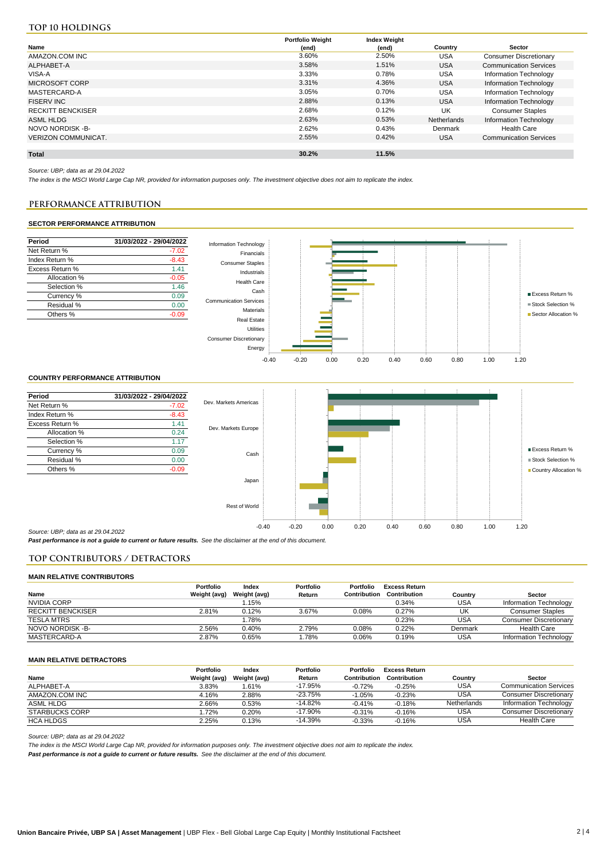# **Top 10 holdings**

|                            | <b>Portfolio Weight</b> | <b>Index Weight</b> |                    |                               |
|----------------------------|-------------------------|---------------------|--------------------|-------------------------------|
| Name                       | (end)                   | (end)               | Country            | Sector                        |
| AMAZON.COM INC             | 3.60%                   | 2.50%               | <b>USA</b>         | <b>Consumer Discretionary</b> |
| ALPHABET-A                 | 3.58%                   | 1.51%               | <b>USA</b>         | <b>Communication Services</b> |
| VISA-A                     | 3.33%                   | 0.78%               | <b>USA</b>         | Information Technology        |
| MICROSOFT CORP             | 3.31%                   | 4.36%               | <b>USA</b>         | Information Technology        |
| MASTERCARD-A               | 3.05%                   | 0.70%               | <b>USA</b>         | Information Technology        |
| <b>FISERV INC</b>          | 2.88%                   | 0.13%               | <b>USA</b>         | Information Technology        |
| <b>RECKITT BENCKISER</b>   | 2.68%                   | 0.12%               | UK                 | <b>Consumer Staples</b>       |
| <b>ASML HLDG</b>           | 2.63%                   | 0.53%               | <b>Netherlands</b> | Information Technology        |
| NOVO NORDISK-B-            | 2.62%                   | 0.43%               | Denmark            | <b>Health Care</b>            |
| <b>VERIZON COMMUNICAT.</b> | 2.55%                   | 0.42%               | <b>USA</b>         | <b>Communication Services</b> |
|                            |                         |                     |                    |                               |
| <b>Total</b>               | 30.2%                   | 11.5%               |                    |                               |

*Source: UBP; data as at 29.04.2022*

*The index is the MSCI World Large Cap NR, provided for information purposes only. The investment objective does not aim to replicate the index.*

## **PERFORMANCE ATTRIBUTION PERFORMANCE ATTRIBUTION**

#### SECTOR PERFORMANCE ATTRIBUTION **SECTOR PERFORMANCE ATTRIBUTION**



-0.40 -0.20 0.00 0.20 0.40 0.60 0.80 1.00 1.20

#### COUNTRY PERFORMANCE ATTRIBUTION **COUNTRY PERFORMANCE ATTRIBUTION**



*Past performance is not a guide to current or future results. See the disclaimer at the end of this document.*

## **TOP CONTRIBUTORS / DETRACTORS**

## **MAIN RELATIVE CONTRIBUTORS**

|                          | Portfolio    | Index        | Portfolio | <b>Portfolio</b> | Excess Return |         |                               |
|--------------------------|--------------|--------------|-----------|------------------|---------------|---------|-------------------------------|
| Name                     | Weight (avg) | Weight (avg) | Return    | Contribution     | Contribution  | Countrv | <b>Sector</b>                 |
| NVIDIA CORP              |              | .15%         |           |                  | 0.34%         | USA     | Information Technology        |
| <b>RECKITT BENCKISER</b> | 2.81%        | 0.12%        | 3.67%     | 0.08%            | 0.27%         | UK      | <b>Consumer Staples</b>       |
| <b>TESLA MTRS</b>        |              | .78%         |           |                  | 0.23%         | USA     | <b>Consumer Discretionary</b> |
| NOVO NORDISK-B-          | 2.56%        | 0.40%        | 2.79%     | 0.08%            | 0.22%         | Denmark | <b>Health Care</b>            |
| MASTERCARD-A             | 2.87%        | 0.65%        | l.78%     | 0.06%            | 0.19%         | USA     | Information Technology        |

#### **MAIN RELATIVE DETRACTORS**

|                       | Portfolio    | Index        | Portfolio | Portfolio    | <b>Excess Return</b> |             |                               |
|-----------------------|--------------|--------------|-----------|--------------|----------------------|-------------|-------------------------------|
| Name                  | Weight (avg) | Weight (avg) | Return    | Contribution | Contribution         | Countrv     | Sector                        |
| ALPHABET-A            | 3.83%        | .61%         | $-17.95%$ | $-0.72%$     | $-0.25%$             | USA         | <b>Communication Services</b> |
| AMAZON.COM INC        | 4.16%        | 2.88%        | $-23.75%$ | $-1.05%$     | $-0.23%$             | USA         | <b>Consumer Discretionary</b> |
| ASML HLDG             | 2.66%        | 0.53%        | $-14.82%$ | $-0.41%$     | $-0.18%$             | Netherlands | Information Technology        |
| <b>STARBUCKS CORP</b> | $.72\%$      | 0.20%        | $-17.90%$ | $-0.31%$     | $-0.16%$             | USA         | <b>Consumer Discretionary</b> |
| <b>HCA HLDGS</b>      | 2.25%        | 0.13%        | $-14.39%$ | $-0.33%$     | $-0.16%$             | USA         | <b>Health Care</b>            |

*Source: UBP; data as at 29.04.2022*

*The index is the MSCI World Large Cap NR, provided for information purposes only. The investment objective does not aim to replicate the index.*

*Past performance is not a guide to current or future results. See the disclaimer at the end of this document.*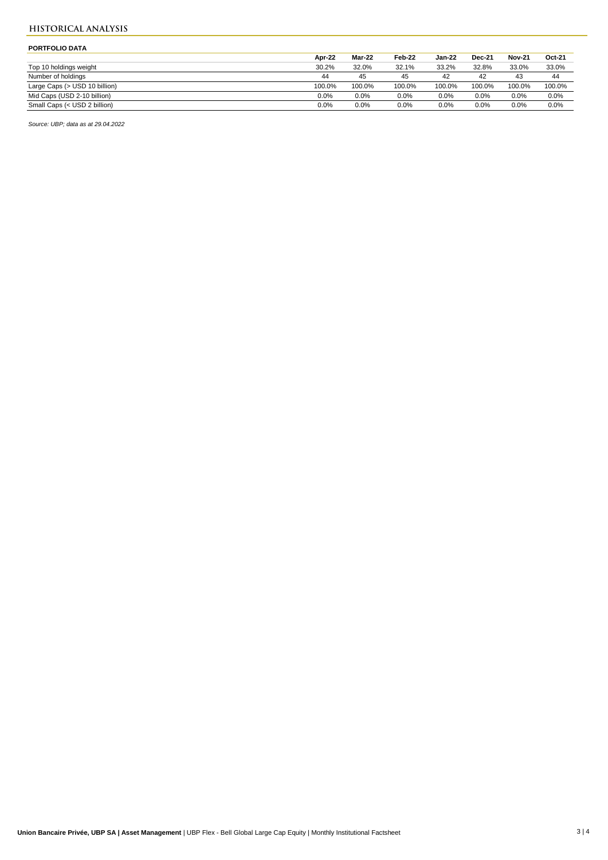# **HISTORICAL ANALYSIS**

| <b>PORTFOLIO DATA</b>         |        |        |        |               |               |               |         |
|-------------------------------|--------|--------|--------|---------------|---------------|---------------|---------|
|                               | Apr-22 | Mar-22 | Feb-22 | <b>Jan-22</b> | <b>Dec-21</b> | <b>Nov-21</b> | Oct-21  |
| Top 10 holdings weight        | 30.2%  | 32.0%  | 32.1%  | 33.2%         | 32.8%         | 33.0%         | 33.0%   |
| Number of holdings            | 44     | 45     | 45     | 42            | 42            | 43            | 44      |
| Large Caps (> USD 10 billion) | 100.0% | 100.0% | 100.0% | 100.0%        | 100.0%        | 100.0%        | 100.0%  |
| Mid Caps (USD 2-10 billion)   | 0.0%   | 0.0%   | 0.0%   | 0.0%          | 0.0%          | $0.0\%$       | $0.0\%$ |
| Small Caps (< USD 2 billion)  | 0.0%   | 0.0%   | 0.0%   | 0.0%          | 0.0%          | $0.0\%$       | $0.0\%$ |
|                               |        |        |        |               |               |               |         |

*Source: UBP; data as at 29.04.2022*